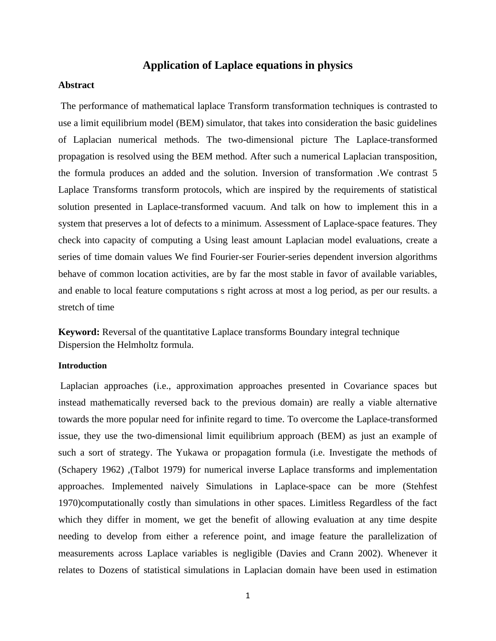# **Application of Laplace equations in physics**

### **Abstract**

The performance of mathematical laplace Transform transformation techniques is contrasted to use a limit equilibrium model (BEM) simulator, that takes into consideration the basic guidelines of Laplacian numerical methods. The two-dimensional picture The Laplace-transformed propagation is resolved using the BEM method. After such a numerical Laplacian transposition, the formula produces an added and the solution. Inversion of transformation .We contrast 5 Laplace Transforms transform protocols, which are inspired by the requirements of statistical solution presented in Laplace-transformed vacuum. And talk on how to implement this in a system that preserves a lot of defects to a minimum. Assessment of Laplace-space features. They check into capacity of computing a Using least amount Laplacian model evaluations, create a series of time domain values We find Fourier-ser Fourier-series dependent inversion algorithms behave of common location activities, are by far the most stable in favor of available variables, and enable to local feature computations s right across at most a log period, as per our results. a stretch of time

**Keyword:** Reversal of the quantitative Laplace transforms Boundary integral technique Dispersion the Helmholtz formula.

# **Introduction**

Laplacian approaches (i.e., approximation approaches presented in Covariance spaces but instead mathematically reversed back to the previous domain) are really a viable alternative towards the more popular need for infinite regard to time. To overcome the Laplace-transformed issue, they use the two-dimensional limit equilibrium approach (BEM) as just an example of such a sort of strategy. The Yukawa or propagation formula (i.e. Investigate the methods of (Schapery 1962) ,(Talbot 1979) for numerical inverse Laplace transforms and implementation approaches. Implemented naively Simulations in Laplace-space can be more (Stehfest 1970)computationally costly than simulations in other spaces. Limitless Regardless of the fact which they differ in moment, we get the benefit of allowing evaluation at any time despite needing to develop from either a reference point, and image feature the parallelization of measurements across Laplace variables is negligible (Davies and Crann 2002). Whenever it relates to Dozens of statistical simulations in Laplacian domain have been used in estimation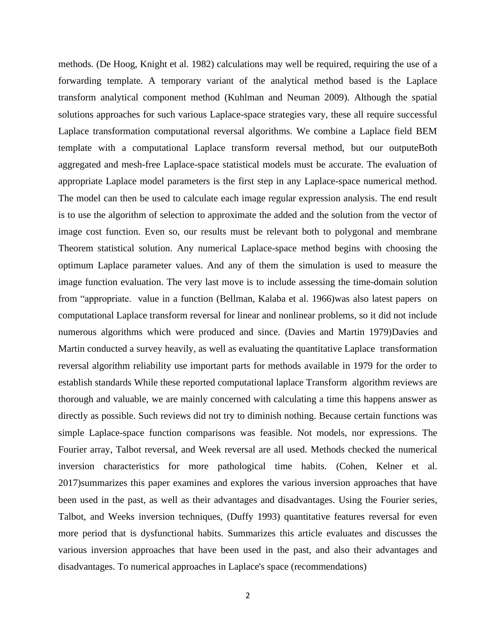methods. (De Hoog, Knight et al. 1982) calculations may well be required, requiring the use of a forwarding template. A temporary variant of the analytical method based is the Laplace transform analytical component method (Kuhlman and Neuman 2009). Although the spatial solutions approaches for such various Laplace-space strategies vary, these all require successful Laplace transformation computational reversal algorithms. We combine a Laplace field BEM template with a computational Laplace transform reversal method, but our outputeBoth aggregated and mesh-free Laplace-space statistical models must be accurate. The evaluation of appropriate Laplace model parameters is the first step in any Laplace-space numerical method. The model can then be used to calculate each image regular expression analysis. The end result is to use the algorithm of selection to approximate the added and the solution from the vector of image cost function. Even so, our results must be relevant both to polygonal and membrane Theorem statistical solution. Any numerical Laplace-space method begins with choosing the optimum Laplace parameter values. And any of them the simulation is used to measure the image function evaluation. The very last move is to include assessing the time-domain solution from "appropriate. value in a function (Bellman, Kalaba et al. 1966)was also latest papers on computational Laplace transform reversal for linear and nonlinear problems, so it did not include numerous algorithms which were produced and since. (Davies and Martin 1979)Davies and Martin conducted a survey heavily, as well as evaluating the quantitative Laplace transformation reversal algorithm reliability use important parts for methods available in 1979 for the order to establish standards While these reported computational laplace Transform algorithm reviews are thorough and valuable, we are mainly concerned with calculating a time this happens answer as directly as possible. Such reviews did not try to diminish nothing. Because certain functions was simple Laplace-space function comparisons was feasible. Not models, nor expressions. The Fourier array, Talbot reversal, and Week reversal are all used. Methods checked the numerical inversion characteristics for more pathological time habits. (Cohen, Kelner et al. 2017)summarizes this paper examines and explores the various inversion approaches that have been used in the past, as well as their advantages and disadvantages. Using the Fourier series, Talbot, and Weeks inversion techniques, (Duffy 1993) quantitative features reversal for even more period that is dysfunctional habits. Summarizes this article evaluates and discusses the various inversion approaches that have been used in the past, and also their advantages and disadvantages. To numerical approaches in Laplace's space (recommendations)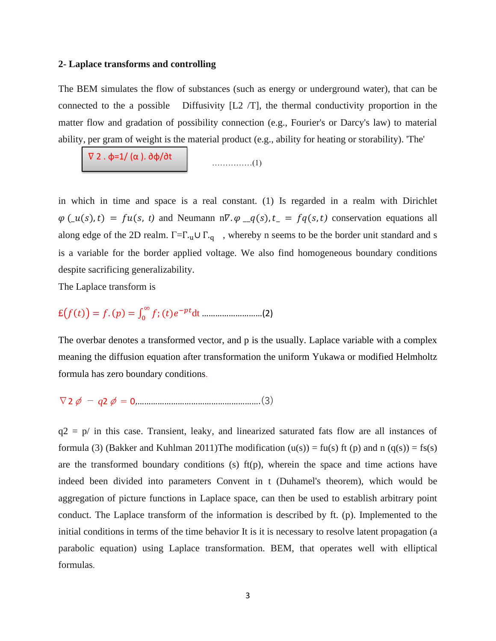#### **2- Laplace transforms and controlling**

The BEM simulates the flow of substances (such as energy or underground water), that can be connected to the a possible Diffusivity  $[L2/T]$ , the thermal conductivity proportion in the matter flow and gradation of possibility connection (e.g., Fourier's or Darcy's law) to material ability, per gram of weight is the material product (e.g., ability for heating or storability). 'The'

……………(1) ∇ 2 . φ=1/ (α ). ∂φ/∂t

in which in time and space is a real constant. (1) Is regarded in a realm with Dirichlet  $\varphi(\underline{u}(s), t) = fu(s, t)$  and Neumann n $\nabla \cdot \varphi(\underline{u}(s), t) = f(q(s, t))$  conservation equations all along edge of the 2D realm.  $\Gamma = \Gamma_{\text{u}} \cup \Gamma_{\text{q}}$ , whereby n seems to be the border unit standard and s is a variable for the border applied voltage. We also find homogeneous boundary conditions despite sacrificing generalizability.

The Laplace transform is

 $E(f(t)) = f. (p) = \int_0^\infty f$ ; (t)e<sup>-pt</sup> 0 dt ………………………(2)

The overbar denotes a transformed vector, and p is the usually. Laplace variable with a complex meaning the diffusion equation after transformation the uniform Yukawa or modified Helmholtz formula has zero boundary conditions.

∇2φ − *q*2φ = 0,……………………………………………….(3)

 $q2 = p/$  in this case. Transient, leaky, and linearized saturated fats flow are all instances of formula (3) (Bakker and Kuhlman 2011)The modification (u(s)) = fu(s) ft (p) and n (q(s)) = fs(s) are the transformed boundary conditions (s)  $f(p)$ , wherein the space and time actions have indeed been divided into parameters Convent in t (Duhamel's theorem), which would be aggregation of picture functions in Laplace space, can then be used to establish arbitrary point conduct. The Laplace transform of the information is described by ft. (p). Implemented to the initial conditions in terms of the time behavior It is it is necessary to resolve latent propagation (a parabolic equation) using Laplace transformation. BEM, that operates well with elliptical formulas.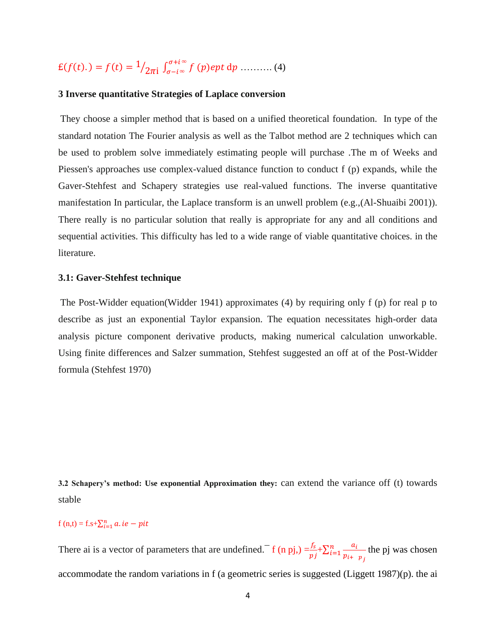# $E(f(t)) = f(t) = \frac{1}{2\pi i} \int_{\sigma - i\infty}^{\sigma + i\infty} f(p) ept dp$  ........... (4)

### **3 Inverse quantitative Strategies of Laplace conversion**

They choose a simpler method that is based on a unified theoretical foundation. In type of the standard notation The Fourier analysis as well as the Talbot method are 2 techniques which can be used to problem solve immediately estimating people will purchase .The m of Weeks and Piessen's approaches use complex-valued distance function to conduct f (p) expands, while the Gaver-Stehfest and Schapery strategies use real-valued functions. The inverse quantitative manifestation In particular, the Laplace transform is an unwell problem (e.g.,(Al-Shuaibi 2001)). There really is no particular solution that really is appropriate for any and all conditions and sequential activities. This difficulty has led to a wide range of viable quantitative choices. in the literature.

# **3.1: Gaver-Stehfest technique**

The Post-Widder equation(Widder 1941) approximates (4) by requiring only f (p) for real p to describe as just an exponential Taylor expansion. The equation necessitates high-order data analysis picture component derivative products, making numerical calculation unworkable. Using finite differences and Salzer summation, Stehfest suggested an off at of the Post-Widder formula (Stehfest 1970)

**3.2 Schapery's method: Use exponential Approximation they:** can extend the variance off (t) towards stable

# f (n,t) = f.s+ $\sum_{i=1}^{n} a_i$ . ie – pit

There ai is a vector of parameters that are undefined.<sup> $- f(n \text{ pj}) = \frac{f_s}{p_j} + \sum_{i=1}^n \frac{a_i}{p_{i+1}}$ </sup>  $p_{i+}$   $p_j$  $\frac{n}{i=1}$   $\frac{a_i}{n}$  the pj was chosen accommodate the random variations in f (a geometric series is suggested (Liggett 1987)(p). the ai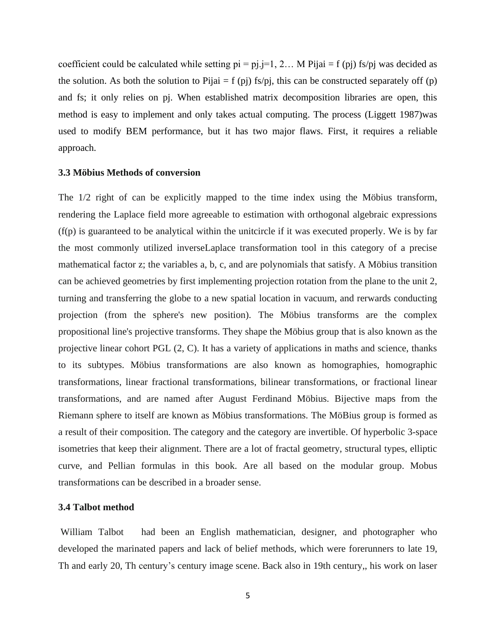coefficient could be calculated while setting  $pi = pi$ .  $j=1, 2...$  M Pijai = f (pj) fs/pj was decided as the solution. As both the solution to Pijai = f (pj) fs/pj, this can be constructed separately off (p) and fs; it only relies on pj. When established matrix decomposition libraries are open, this method is easy to implement and only takes actual computing. The process (Liggett 1987)was used to modify BEM performance, but it has two major flaws. First, it requires a reliable approach.

#### **3.3 Möbius Methods of conversion**

The 1/2 right of can be explicitly mapped to the time index using the Möbius transform, rendering the Laplace field more agreeable to estimation with orthogonal algebraic expressions (f(p) is guaranteed to be analytical within the unitcircle if it was executed properly. We is by far the most commonly utilized inverseLaplace transformation tool in this category of a precise mathematical factor z; the variables a, b, c, and are polynomials that satisfy. A Möbius transition can be achieved geometries by first implementing projection rotation from the plane to the unit 2, turning and transferring the globe to a new spatial location in vacuum, and rerwards conducting projection (from the sphere's new position). The Möbius transforms are the complex propositional line's projective transforms. They shape the Möbius group that is also known as the projective linear cohort PGL (2, C). It has a variety of applications in maths and science, thanks to its subtypes. Möbius transformations are also known as homographies, homographic transformations, linear fractional transformations, bilinear transformations, or fractional linear transformations, and are named after August Ferdinand Möbius. Bijective maps from the Riemann sphere to itself are known as Möbius transformations. The MöBius group is formed as a result of their composition. The category and the category are invertible. Of hyperbolic 3-space isometries that keep their alignment. There are a lot of fractal geometry, structural types, elliptic curve, and Pellian formulas in this book. Are all based on the modular group. Mobus transformations can be described in a broader sense.

# **3.4 Talbot method**

William Talbot had been an English mathematician, designer, and photographer who developed the marinated papers and lack of belief methods, which were forerunners to late 19, Th and early 20, Th century's century image scene. Back also in 19th century,, his work on laser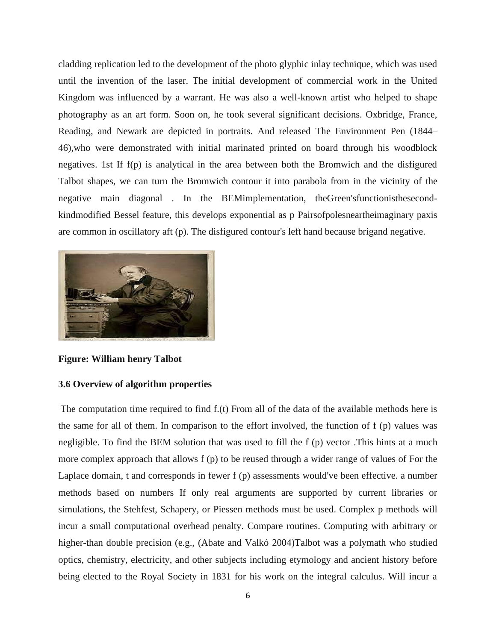cladding replication led to the development of the photo glyphic inlay technique, which was used until the invention of the laser. The initial development of commercial work in the United Kingdom was influenced by a warrant. He was also a well-known artist who helped to shape photography as an art form. Soon on, he took several significant decisions. Oxbridge, France, Reading, and Newark are depicted in portraits. And released The Environment Pen (1844– 46),who were demonstrated with initial marinated printed on board through his woodblock negatives. 1st If f(p) is analytical in the area between both the Bromwich and the disfigured Talbot shapes, we can turn the Bromwich contour it into parabola from in the vicinity of the negative main diagonal . In the BEMimplementation, theGreen'sfunctionisthesecondkindmodified Bessel feature, this develops exponential as p Pairsofpolesneartheimaginary paxis are common in oscillatory aft (p). The disfigured contour's left hand because brigand negative.



**Figure: William henry Talbot**

# **3.6 Overview of algorithm properties**

The computation time required to find f.(t) From all of the data of the available methods here is the same for all of them. In comparison to the effort involved, the function of f (p) values was negligible. To find the BEM solution that was used to fill the f (p) vector .This hints at a much more complex approach that allows f (p) to be reused through a wider range of values of For the Laplace domain, t and corresponds in fewer f (p) assessments would've been effective. a number methods based on numbers If only real arguments are supported by current libraries or simulations, the Stehfest, Schapery, or Piessen methods must be used. Complex p methods will incur a small computational overhead penalty. Compare routines. Computing with arbitrary or higher-than double precision (e.g., (Abate and Valkó 2004)Talbot was a polymath who studied optics, chemistry, electricity, and other subjects including etymology and ancient history before being elected to the Royal Society in 1831 for his work on the integral calculus. Will incur a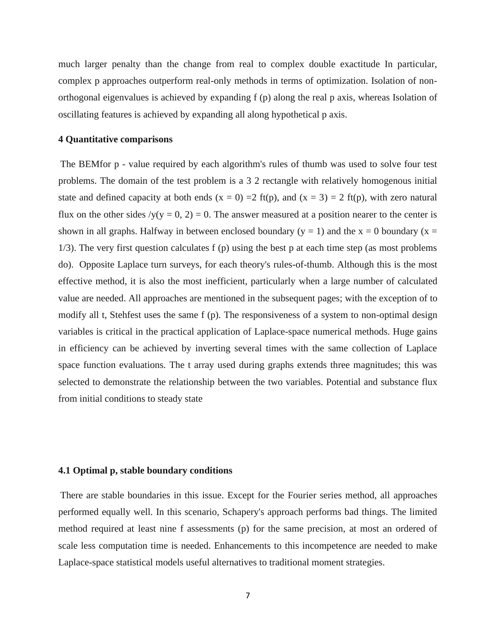much larger penalty than the change from real to complex double exactitude In particular, complex p approaches outperform real-only methods in terms of optimization. Isolation of nonorthogonal eigenvalues is achieved by expanding f (p) along the real p axis, whereas Isolation of oscillating features is achieved by expanding all along hypothetical p axis.

### **4 Quantitative comparisons**

The BEMfor p - value required by each algorithm's rules of thumb was used to solve four test problems. The domain of the test problem is a 3 2 rectangle with relatively homogenous initial state and defined capacity at both ends  $(x = 0) = 2$  ft(p), and  $(x = 3) = 2$  ft(p), with zero natural flux on the other sides  $y(y = 0, 2) = 0$ . The answer measured at a position nearer to the center is shown in all graphs. Halfway in between enclosed boundary ( $y = 1$ ) and the  $x = 0$  boundary ( $x =$ 1/3). The very first question calculates f (p) using the best p at each time step (as most problems do). Opposite Laplace turn surveys, for each theory's rules-of-thumb. Although this is the most effective method, it is also the most inefficient, particularly when a large number of calculated value are needed. All approaches are mentioned in the subsequent pages; with the exception of to modify all t, Stehfest uses the same f (p). The responsiveness of a system to non-optimal design variables is critical in the practical application of Laplace-space numerical methods. Huge gains in efficiency can be achieved by inverting several times with the same collection of Laplace space function evaluations. The t array used during graphs extends three magnitudes; this was selected to demonstrate the relationship between the two variables. Potential and substance flux from initial conditions to steady state

#### **4.1 Optimal p, stable boundary conditions**

There are stable boundaries in this issue. Except for the Fourier series method, all approaches performed equally well. In this scenario, Schapery's approach performs bad things. The limited method required at least nine f assessments (p) for the same precision, at most an ordered of scale less computation time is needed. Enhancements to this incompetence are needed to make Laplace-space statistical models useful alternatives to traditional moment strategies.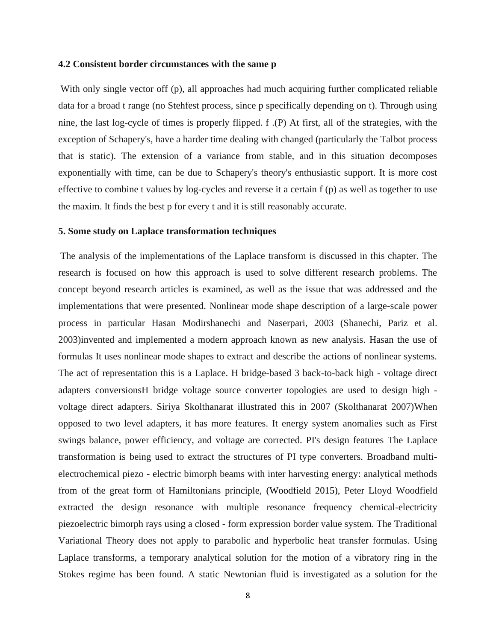#### **4.2 Consistent border circumstances with the same p**

With only single vector off (p), all approaches had much acquiring further complicated reliable data for a broad t range (no Stehfest process, since p specifically depending on t). Through using nine, the last log-cycle of times is properly flipped. f .(P) At first, all of the strategies, with the exception of Schapery's, have a harder time dealing with changed (particularly the Talbot process that is static). The extension of a variance from stable, and in this situation decomposes exponentially with time, can be due to Schapery's theory's enthusiastic support. It is more cost effective to combine t values by log-cycles and reverse it a certain f (p) as well as together to use the maxim. It finds the best p for every t and it is still reasonably accurate.

#### **5. Some study on Laplace transformation techniques**

The analysis of the implementations of the Laplace transform is discussed in this chapter. The research is focused on how this approach is used to solve different research problems. The concept beyond research articles is examined, as well as the issue that was addressed and the implementations that were presented. Nonlinear mode shape description of a large-scale power process in particular Hasan Modirshanechi and Naserpari, 2003 (Shanechi, Pariz et al. 2003)invented and implemented a modern approach known as new analysis. Hasan the use of formulas It uses nonlinear mode shapes to extract and describe the actions of nonlinear systems. The act of representation this is a Laplace. H bridge-based 3 back-to-back high - voltage direct adapters conversionsH bridge voltage source converter topologies are used to design high voltage direct adapters. Siriya Skolthanarat illustrated this in 2007 (Skolthanarat 2007)When opposed to two level adapters, it has more features. It energy system anomalies such as First swings balance, power efficiency, and voltage are corrected. PI's design features The Laplace transformation is being used to extract the structures of PI type converters. Broadband multielectrochemical piezo - electric bimorph beams with inter harvesting energy: analytical methods from of the great form of Hamiltonians principle, (Woodfield 2015), Peter Lloyd Woodfield extracted the design resonance with multiple resonance frequency chemical-electricity piezoelectric bimorph rays using a closed - form expression border value system. The Traditional Variational Theory does not apply to parabolic and hyperbolic heat transfer formulas. Using Laplace transforms, a temporary analytical solution for the motion of a vibratory ring in the Stokes regime has been found. A static Newtonian fluid is investigated as a solution for the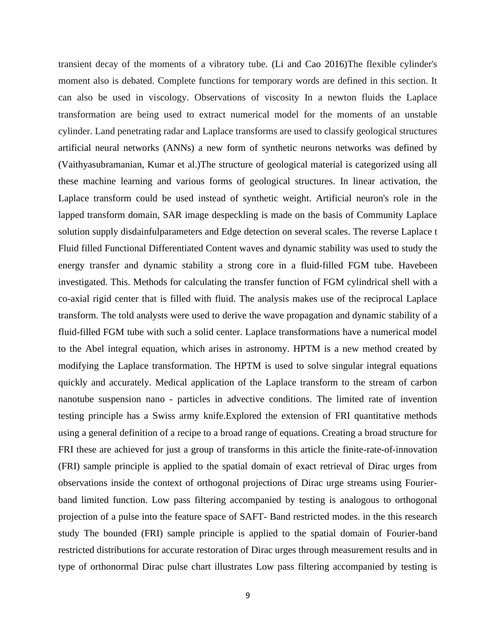transient decay of the moments of a vibratory tube. (Li and Cao 2016)The flexible cylinder's moment also is debated. Complete functions for temporary words are defined in this section. It can also be used in viscology. Observations of viscosity In a newton fluids the Laplace transformation are being used to extract numerical model for the moments of an unstable cylinder. Land penetrating radar and Laplace transforms are used to classify geological structures artificial neural networks (ANNs) a new form of synthetic neurons networks was defined by (Vaithyasubramanian, Kumar et al.)The structure of geological material is categorized using all these machine learning and various forms of geological structures. In linear activation, the Laplace transform could be used instead of synthetic weight. Artificial neuron's role in the lapped transform domain, SAR image despeckling is made on the basis of Community Laplace solution supply disdainfulparameters and Edge detection on several scales. The reverse Laplace t Fluid filled Functional Differentiated Content waves and dynamic stability was used to study the energy transfer and dynamic stability a strong core in a fluid-filled FGM tube. Havebeen investigated. This. Methods for calculating the transfer function of FGM cylindrical shell with a co-axial rigid center that is filled with fluid. The analysis makes use of the reciprocal Laplace transform. The told analysts were used to derive the wave propagation and dynamic stability of a fluid-filled FGM tube with such a solid center. Laplace transformations have a numerical model to the Abel integral equation, which arises in astronomy. HPTM is a new method created by modifying the Laplace transformation. The HPTM is used to solve singular integral equations quickly and accurately. Medical application of the Laplace transform to the stream of carbon nanotube suspension nano - particles in advective conditions. The limited rate of invention testing principle has a Swiss army knife.Explored the extension of FRI quantitative methods using a general definition of a recipe to a broad range of equations. Creating a broad structure for FRI these are achieved for just a group of transforms in this article the finite-rate-of-innovation (FRI) sample principle is applied to the spatial domain of exact retrieval of Dirac urges from observations inside the context of orthogonal projections of Dirac urge streams using Fourierband limited function. Low pass filtering accompanied by testing is analogous to orthogonal projection of a pulse into the feature space of SAFT- Band restricted modes. in the this research study The bounded (FRI) sample principle is applied to the spatial domain of Fourier-band restricted distributions for accurate restoration of Dirac urges through measurement results and in type of orthonormal Dirac pulse chart illustrates Low pass filtering accompanied by testing is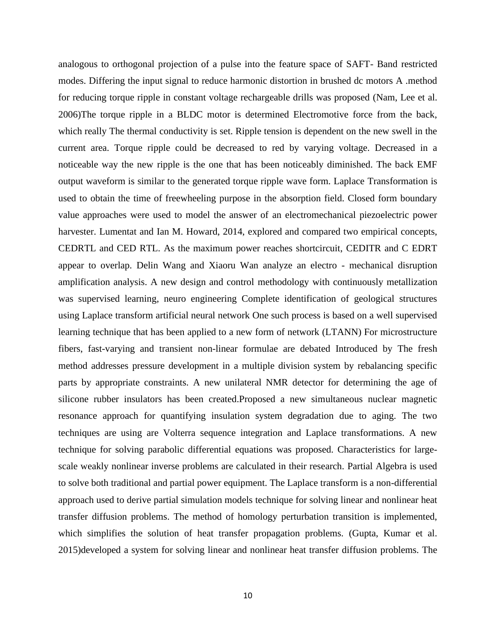analogous to orthogonal projection of a pulse into the feature space of SAFT- Band restricted modes. Differing the input signal to reduce harmonic distortion in brushed dc motors A .method for reducing torque ripple in constant voltage rechargeable drills was proposed (Nam, Lee et al. 2006)The torque ripple in a BLDC motor is determined Electromotive force from the back, which really The thermal conductivity is set. Ripple tension is dependent on the new swell in the current area. Torque ripple could be decreased to red by varying voltage. Decreased in a noticeable way the new ripple is the one that has been noticeably diminished. The back EMF output waveform is similar to the generated torque ripple wave form. Laplace Transformation is used to obtain the time of freewheeling purpose in the absorption field. Closed form boundary value approaches were used to model the answer of an electromechanical piezoelectric power harvester. Lumentat and Ian M. Howard, 2014, explored and compared two empirical concepts, CEDRTL and CED RTL. As the maximum power reaches shortcircuit, CEDITR and C EDRT appear to overlap. Delin Wang and Xiaoru Wan analyze an electro - mechanical disruption amplification analysis. A new design and control methodology with continuously metallization was supervised learning, neuro engineering Complete identification of geological structures using Laplace transform artificial neural network One such process is based on a well supervised learning technique that has been applied to a new form of network (LTANN) For microstructure fibers, fast-varying and transient non-linear formulae are debated Introduced by The fresh method addresses pressure development in a multiple division system by rebalancing specific parts by appropriate constraints. A new unilateral NMR detector for determining the age of silicone rubber insulators has been created.Proposed a new simultaneous nuclear magnetic resonance approach for quantifying insulation system degradation due to aging. The two techniques are using are Volterra sequence integration and Laplace transformations. A new technique for solving parabolic differential equations was proposed. Characteristics for largescale weakly nonlinear inverse problems are calculated in their research. Partial Algebra is used to solve both traditional and partial power equipment. The Laplace transform is a non-differential approach used to derive partial simulation models technique for solving linear and nonlinear heat transfer diffusion problems. The method of homology perturbation transition is implemented, which simplifies the solution of heat transfer propagation problems. (Gupta, Kumar et al. 2015)developed a system for solving linear and nonlinear heat transfer diffusion problems. The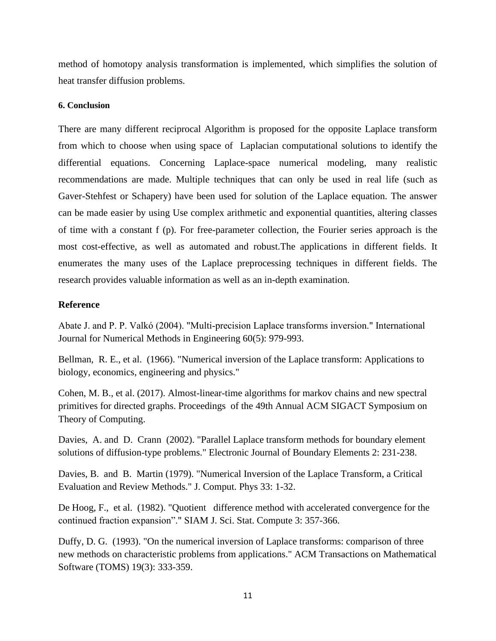method of homotopy analysis transformation is implemented, which simplifies the solution of heat transfer diffusion problems.

# **6. Conclusion**

There are many different reciprocal Algorithm is proposed for the opposite Laplace transform from which to choose when using space of Laplacian computational solutions to identify the differential equations. Concerning Laplace-space numerical modeling, many realistic recommendations are made. Multiple techniques that can only be used in real life (such as Gaver-Stehfest or Schapery) have been used for solution of the Laplace equation. The answer can be made easier by using Use complex arithmetic and exponential quantities, altering classes of time with a constant f (p). For free-parameter collection, the Fourier series approach is the most cost-effective, as well as automated and robust.The applications in different fields. It enumerates the many uses of the Laplace preprocessing techniques in different fields. The research provides valuable information as well as an in-depth examination.

# **Reference**

Abate J. and P. P. Valkó (2004). "Multi‐precision Laplace transforms inversion." International Journal for Numerical Methods in Engineering 60(5): 979-993.

Bellman, R. E., et al. (1966). "Numerical inversion of the Laplace transform: Applications to biology, economics, engineering and physics."

Cohen, M. B., et al. (2017). Almost-linear-time algorithms for markov chains and new spectral primitives for directed graphs. Proceedings of the 49th Annual ACM SIGACT Symposium on Theory of Computing.

Davies, A. and D. Crann (2002). "Parallel Laplace transform methods for boundary element solutions of diffusion-type problems." Electronic Journal of Boundary Elements 2: 231-238.

Davies, B. and B. Martin (1979). "Numerical Inversion of the Laplace Transform, a Critical Evaluation and Review Methods." J. Comput. Phys 33: 1-32.

De Hoog, F., et al. (1982). "Quotient difference method with accelerated convergence for the continued fraction expansion"." SIAM J. Sci. Stat. Compute 3: 357-366.

Duffy, D. G. (1993). "On the numerical inversion of Laplace transforms: comparison of three new methods on characteristic problems from applications." ACM Transactions on Mathematical Software (TOMS) 19(3): 333-359.